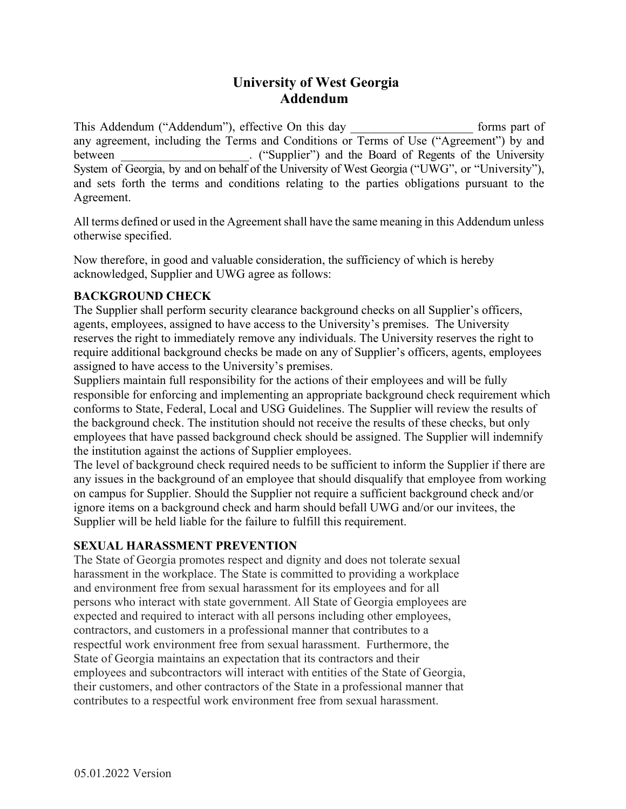

# **University of West Georgia Addendum**

This Addendum ("Addendum"), effective On this day forms part of any agreement, including the Terms and Conditions or Terms of Use ("Agreement") by and between The Computer of Computer") and the Board of Regents of the University System of Georgia, by and on behalf of the University of West Georgia ("UWG", or "University"), and sets forth the terms and conditions relating to the parties obligations pursuant to the Agreement.

All terms defined or used in the Agreement shall have the same meaning in this Addendum unless otherwise specified.

Now therefore, in good and valuable consideration, the sufficiency of which is hereby acknowledged, Supplier and UWG agree as follows:

# **BACKGROUND CHECK**

The Supplier shall perform security clearance background checks on all Supplier's officers, agents, employees, assigned to have access to the University's premises. The University reserves the right to immediately remove any individuals. The University reserves the right to require additional background checks be made on any of Supplier's officers, agents, employees assigned to have access to the University's premises.

Suppliers maintain full responsibility for the actions of their employees and will be fully responsible for enforcing and implementing an appropriate background check requirement which conforms to State, Federal, Local and USG Guidelines. The Supplier will review the results of the background check. The institution should not receive the results of these checks, but only employees that have passed background check should be assigned. The Supplier will indemnify the institution against the actions of Supplier employees.

The level of background check required needs to be sufficient to inform the Supplier if there are any issues in the background of an employee that should disqualify that employee from working on campus for Supplier. Should the Supplier not require a sufficient background check and/or ignore items on a background check and harm should befall UWG and/or our invitees, the Supplier will be held liable for the failure to fulfill this requirement.

# **SEXUAL HARASSMENT PREVENTION**

The State of Georgia promotes respect and dignity and does not tolerate sexual harassment in the workplace. The State is committed to providing a workplace and environment free from sexual harassment for its employees and for all persons who interact with state government. All State of Georgia employees are expected and required to interact with all persons including other employees, contractors, and customers in a professional manner that contributes to a respectful work environment free from sexual harassment. Furthermore, the State of Georgia maintains an expectation that its contractors and their employees and subcontractors will interact with entities of the State of Georgia, their customers, and other contractors of the State in a professional manner that contributes to a respectful work environment free from sexual harassment.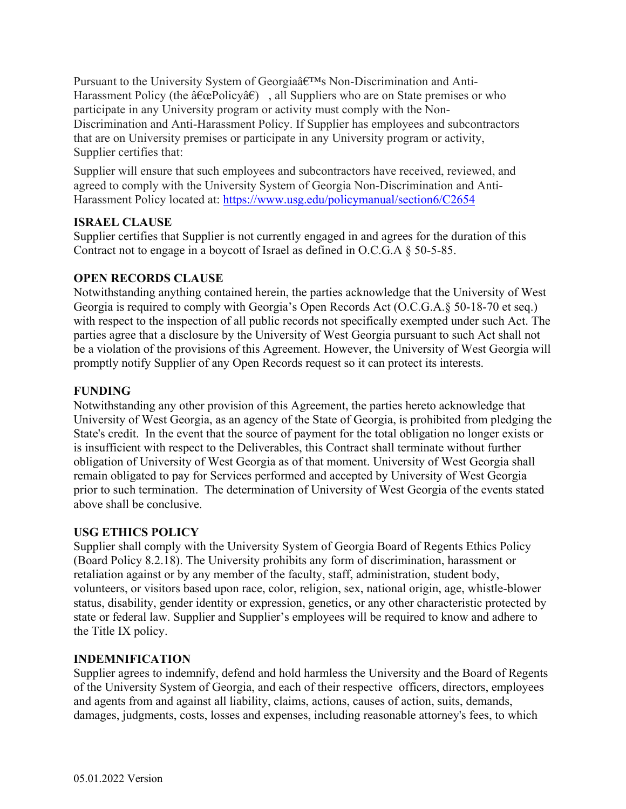$Rwtu wcpv''vq''vj g''Wpkxgtu k'''U{uvg o''qh'' I gqtikc's o'}$  $\frac{1}{1}$  isc i i  $10<sup>1</sup>$  $\mathbf{i}$ **SS** "Policy" 11 Policy  $\ln s$  $\Omega$  $\Omega$  $is so$  $\overline{O}$ ici  $\mathbf{i}$  $\mathbf{V}$  $\mathbf{i}$  $si y$  o  $o$   $ci$   $iv$ s co  $1y$  i  $\frac{1}{2}$  isc i  $\frac{1}{2}$  io  $\mathbf{i}$  $\mathbf{o}$ **SS** Policy. si y  $1i$  $\mathbf{s}$  $\log s$  $c o s$  $\mathbf{i}$  $is so$  ${\bf S}$  $_{\rm co}$  $\overline{O}$  $\mathbf{i}$  $li$  c  $ii$  s  $1<sub>c1</sub>$  $\mathbf{i}$ y  $si y$  o  $0$   $c$   $i$   $j$   $y$  $i<sup>11</sup>$  $S \quad C$  $\log s$  $\mathbf{i}$ li.  $S$ s co c o s  $\overline{c}$  i  $\mathbf{i}$  $isc i i$  $0<sub>c</sub>$  $1y \quad i$  $\mathbf{i}$ si y ys  $\mathbf{o}$  $0 \quad i$  $\mathbf{o}$  $10<sup>1</sup>$ Policy loc  $S^{\perp}$  $\mathbf{S}$  . olicy  $1 s$  c io SS

## **ISRAEL CLAUSE**

Suppliercertifies that Supplier is not currently engaged in and agrees for the duration of this Contract not to engage in a boycott of Israel as defined in O.C.G.A 50-5-85.

## **OPEN RECORDS CLAUSE**

Notwithstanding anything contained herein, the parties acknowledge that the University and W Georgia is required to comply with Georgia s Open Records Act (O.C.G.A. 50-18-70 et seq.) with respect to the inspection of all public records not specifically e empted under such Act. The parties agree that a disclosure by the University of West Grierpursuant to such Act shall not be a violation of the provisions of this Agreement. However, the University of West Georgia will promptly notify Supplier of any Open Records request so it can protect its interests.

### **FUNDING**

Notwithstanding any other provision of this Agreement, the parties hereto acknowledge that University of West Georgia, as an agency of the State of Georgia, is prohibited from pledging the State s credit. In the event that the source of payment for the total obligation no longsts or is insufficient with respect to the Deliverables, this Contract shall terminate without further obligation of University of West Georgia as of that moment. University of West Georgia shall remain obligated to pay for Services performed and accepted by University of West Georgia prior to such termination. The determination of University of West Georgia of the events stated above shall be conclusive.

### **USG ETHICS POLICY**

Supplier shall comply with the University System of Georgia Board of Regents Est Prolicy (Board Policy 8.2.18). The University prohibits any form of discrimination, harassment or retaliation against or by any member of the faculty, staff, administration, student body, volunteers, or visitors based upon race, color, religion, se, national origin, age, whistered status, disability, gender identity or e pression, genetics, or any other characteristic protected by state or federal law. Supplier and Supplier s employees will be required to know and adhere to the Title IX policy.

#### **INDEMNIFICATION**

Supplier agrees to indemnify, defend and hold harmless the University and the Board of Regents of the University System of Georgia, and each of their respective officers, directors, employees and agents from and against all liability, claims, actions, causes of action, suits, demands, damages, udgments, costs, losses and e penses, including reasonable attorney s fees, to which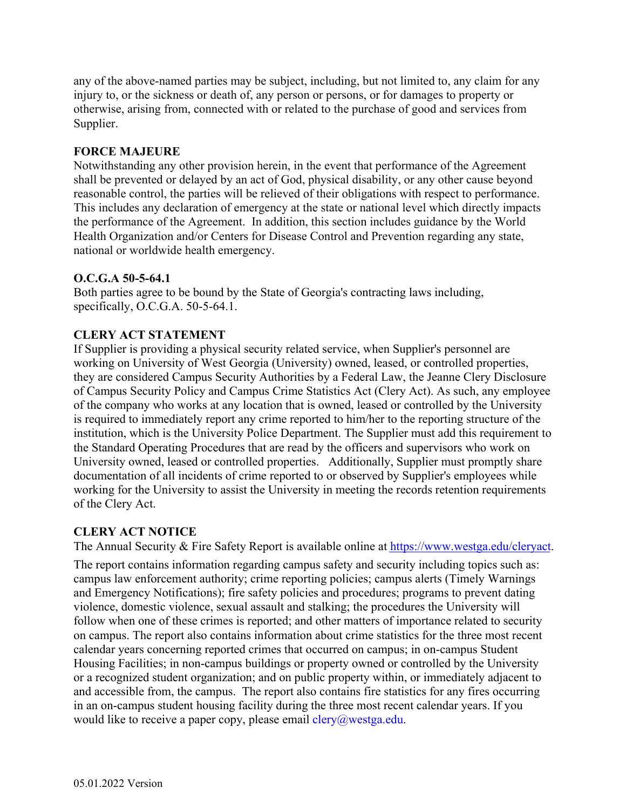any of the above-named parties may be subject, including, but not limited to, any claim for any injury to, or the sickness or death of, any person or persons, or for damages to property or otherwise, arising from, connected with or related to the purchase of good and services from Supplier.

# **FORCE MAJEURE**

Notwithstanding any other provision herein, in the event that performance of the Agreement shall be prevented or delayed by an act of God, physical disability, or any other cause beyond reasonable control, the parties will be relieved of their obligations with respect to performance. This includes any declaration of emergency at the state or national level which directly impacts the performance of the Agreement. In addition, this section includes guidance by the World Health Organization and/or Centers for Disease Control and Prevention regarding any state, national or worldwide health emergency.

### **O.C.G.A 50-5-64.1**

Both parties agree to be bound by the State of Georgia's contracting laws including, specifically, O.C.G.A. 50-5-64.1.

# **CLERY ACT STATEMENT**

If Supplier is providing a physical security related service, when Supplier's personnel are working on University of West Georgia (University) owned, leased, or controlled properties, they are considered Campus Security Authorities by a Federal Law, the Jeanne Clery Disclosure of Campus Security Policy and Campus Crime Statistics Act (Clery Act). As such, any employee of the company who works at any location that is owned, leased or controlled by the University is required to immediately report any crime reported to him/her to the reporting structure of the institution, which is the University Police Department. The Supplier must add this requirement to the Standard Operating Procedures that are read by the officers and supervisors who work on University owned, leased or controlled properties. Additionally, Supplier must promptly share documentation of all incidents of crime reported to or observed by Supplier's employees while working for the University to assist the University in meeting the records retention requirements of the Clery Act.

# **CLERY ACT NOTICE**

The Annual Security & Fire Safety Report is available online at [https://www.westga.edu/cleryact.](https://www.westga.edu/cleryact)

The report contains information regarding campus safety and security including topics such as: campus law enforcement authority; crime reporting policies; campus alerts (Timely Warnings and Emergency Notifications); fire safety policies and procedures; programs to prevent dating violence, domestic violence, sexual assault and stalking; the procedures the University will follow when one of these crimes is reported; and other matters of importance related to security on campus. The report also contains information about crime statistics for the three most recent calendar years concerning reported crimes that occurred on campus; in on-campus Student Housing Facilities; in non-campus buildings or property owned or controlled by the University or a recognized student organization; and on public property within, or immediately adjacent to and accessible from, the campus. The report also contains fire statistics for any fires occurring in an on-campus student housing facility during the three most recent calendar years. If you would like to receive a paper copy, please email  $clery@westga.edu$ .